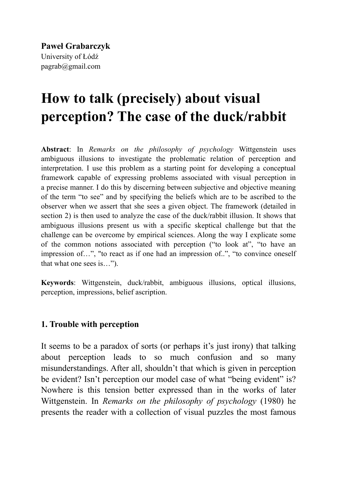**Paweł Grabarczyk** University of Łódź pagrab@gmail.com

# **How to talk (precisely) about visual perception? The case of the duck/rabbit**

**Abstract**: In *Remarks on the philosophy of psychology* Wittgenstein uses ambiguous illusions to investigate the problematic relation of perception and interpretation. I use this problem as a starting point for developing a conceptual framework capable of expressing problems associated with visual perception in a precise manner. I do this by discerning between subjective and objective meaning of the term "to see" and by specifying the beliefs which are to be ascribed to the observer when we assert that she sees a given object. The framework (detailed in section 2) is then used to analyze the case of the duck/rabbit illusion. It shows that ambiguous illusions present us with a specific skeptical challenge but that the challenge can be overcome by empirical sciences. Along the way I explicate some of the common notions associated with perception ("to look at", "to have an impression of…", "to react as if one had an impression of..", "to convince oneself that what one sees is…").

**Keywords**: Wittgenstein, duck/rabbit, ambiguous illusions, optical illusions, perception, impressions, belief ascription.

## **1. Trouble with perception**

It seems to be a paradox of sorts (or perhaps it's just irony) that talking about perception leads to so much confusion and so many misunderstandings. After all, shouldn't that which is given in perception be evident? Isn't perception our model case of what "being evident" is? Nowhere is this tension better expressed than in the works of later Wittgenstein. In *Remarks on the philosophy of psychology* (1980) he presents the reader with a collection of visual puzzles the most famous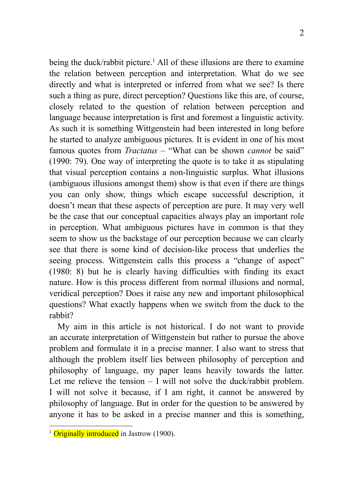2

being the duck/rabbit picture.<sup>1</sup> All of these illusions are there to examine the relation between perception and interpretation. What do we see directly and what is interpreted or inferred from what we see? Is there such a thing as pure, direct perception? Questions like this are, of course, closely related to the question of relation between perception and language because interpretation is first and foremost a linguistic activity. As such it is something Wittgenstein had been interested in long before he started to analyze ambiguous pictures. It is evident in one of his most famous quotes from *Tractatus* – "What can be shown *cannot* be said" (1990: 79). One way of interpreting the quote is to take it as stipulating that visual perception contains a non-linguistic surplus. What illusions (ambiguous illusions amongst them) show is that even if there are things you can only show, things which escape successful description, it doesn't mean that these aspects of perception are pure. It may very well be the case that our conceptual capacities always play an important role in perception. What ambiguous pictures have in common is that they seem to show us the backstage of our perception because we can clearly see that there is some kind of decision-like process that underlies the seeing process. Wittgenstein calls this process a "change of aspect" (1980: 8) but he is clearly having difficulties with finding its exact nature. How is this process different from normal illusions and normal, veridical perception? Does it raise any new and important philosophical questions? What exactly happens when we switch from the duck to the rabbit?

My aim in this article is not historical. I do not want to provide an accurate interpretation of Wittgenstein but rather to pursue the above problem and formulate it in a precise manner. I also want to stress that although the problem itself lies between philosophy of perception and philosophy of language, my paper leans heavily towards the latter. Let me relieve the tension  $- I$  will not solve the duck/rabbit problem. I will not solve it because, if I am right, it cannot be answered by philosophy of language. But in order for the question to be answered by anyone it has to be asked in a precise manner and this is something,

<sup>&</sup>lt;sup>1</sup> Originally introduced in Jastrow (1900).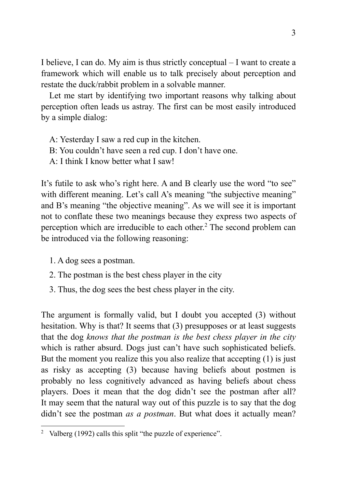I believe, I can do. My aim is thus strictly conceptual – I want to create a framework which will enable us to talk precisely about perception and restate the duck/rabbit problem in a solvable manner.

Let me start by identifying two important reasons why talking about perception often leads us astray. The first can be most easily introduced by a simple dialog:

- A: Yesterday I saw a red cup in the kitchen.
- B: You couldn't have seen a red cup. I don't have one.
- A: I think I know better what I saw!

It's futile to ask who's right here. A and B clearly use the word "to see" with different meaning. Let's call A's meaning "the subjective meaning" and B's meaning "the objective meaning". As we will see it is important not to conflate these two meanings because they express two aspects of perception which are irreducible to each other.2 The second problem can be introduced via the following reasoning:

- 1. A dog sees a postman.
- 2. The postman is the best chess player in the city
- 3. Thus, the dog sees the best chess player in the city.

The argument is formally valid, but I doubt you accepted (3) without hesitation. Why is that? It seems that (3) presupposes or at least suggests that the dog *knows that the postman is the best chess player in the city* which is rather absurd. Dogs just can't have such sophisticated beliefs. But the moment you realize this you also realize that accepting (1) is just as risky as accepting (3) because having beliefs about postmen is probably no less cognitively advanced as having beliefs about chess players. Does it mean that the dog didn't see the postman after all? It may seem that the natural way out of this puzzle is to say that the dog didn't see the postman *as a postman*. But what does it actually mean?

<sup>&</sup>lt;sup>2</sup> Valberg (1992) calls this split "the puzzle of experience".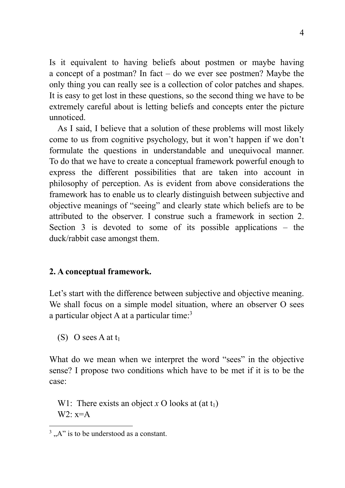Is it equivalent to having beliefs about postmen or maybe having a concept of a postman? In fact – do we ever see postmen? Maybe the only thing you can really see is a collection of color patches and shapes. It is easy to get lost in these questions, so the second thing we have to be extremely careful about is letting beliefs and concepts enter the picture unnoticed.

As I said, I believe that a solution of these problems will most likely come to us from cognitive psychology, but it won't happen if we don't formulate the questions in understandable and unequivocal manner. To do that we have to create a conceptual framework powerful enough to express the different possibilities that are taken into account in philosophy of perception. As is evident from above considerations the framework has to enable us to clearly distinguish between subjective and objective meanings of "seeing" and clearly state which beliefs are to be attributed to the observer. I construe such a framework in section 2. Section 3 is devoted to some of its possible applications – the duck/rabbit case amongst them.

#### **2. A conceptual framework.**

Let's start with the difference between subjective and objective meaning. We shall focus on a simple model situation, where an observer O sees a particular object A at a particular time:<sup>3</sup>

(S) O sees A at  $t_1$ 

What do we mean when we interpret the word "sees" in the objective sense? I propose two conditions which have to be met if it is to be the case:

W1: There exists an object *x* O looks at (at  $t_1$ )  $W2: x=A$ 

 $3, A$ " is to be understood as a constant.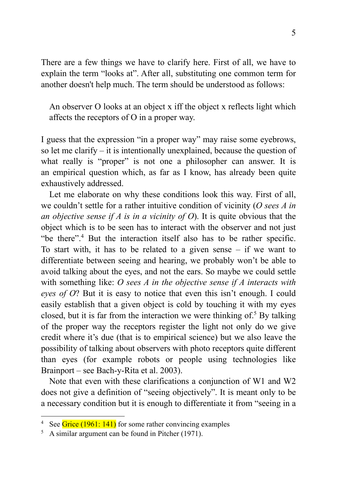There are a few things we have to clarify here. First of all, we have to explain the term "looks at". After all, substituting one common term for another doesn't help much. The term should be understood as follows:

An observer O looks at an object x iff the object x reflects light which affects the receptors of O in a proper way.

I guess that the expression "in a proper way" may raise some eyebrows, so let me clarify – it is intentionally unexplained, because the question of what really is "proper" is not one a philosopher can answer. It is an empirical question which, as far as I know, has already been quite exhaustively addressed.

Let me elaborate on why these conditions look this way. First of all, we couldn't settle for a rather intuitive condition of vicinity (*O sees A in an objective sense if A is in a vicinity of O*). It is quite obvious that the object which is to be seen has to interact with the observer and not just "be there".4 But the interaction itself also has to be rather specific. To start with, it has to be related to a given sense  $-$  if we want to differentiate between seeing and hearing, we probably won't be able to avoid talking about the eyes, and not the ears. So maybe we could settle with something like: *O sees A in the objective sense if A interacts with eyes of O*? But it is easy to notice that even this isn't enough. I could easily establish that a given object is cold by touching it with my eyes closed, but it is far from the interaction we were thinking of.<sup>5</sup> By talking of the proper way the receptors register the light not only do we give credit where it's due (that is to empirical science) but we also leave the possibility of talking about observers with photo receptors quite different than eyes (for example robots or people using technologies like Brainport – see Bach-y-Rita et al. 2003).

Note that even with these clarifications a conjunction of W1 and W2 does not give a definition of "seeing objectively". It is meant only to be a necessary condition but it is enough to differentiate it from "seeing in a

<sup>&</sup>lt;sup>4</sup> See  $G$ rice (1961: 141) for some rather convincing examples

<sup>5</sup> A similar argument can be found in Pitcher (1971).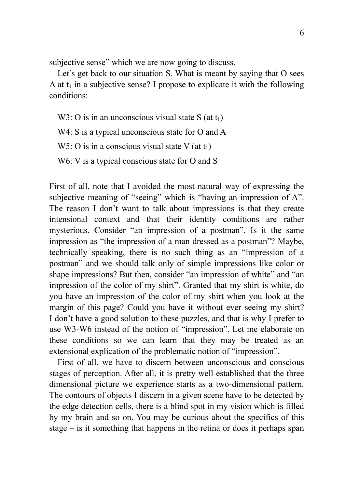subjective sense" which we are now going to discuss.

Let's get back to our situation S. What is meant by saying that O sees A at  $t_1$  in a subjective sense? I propose to explicate it with the following conditions:

W3: O is in an unconscious visual state S (at  $t_1$ )

W4: S is a typical unconscious state for O and A

W5: O is in a conscious visual state V (at  $t_1$ )

W6: V is a typical conscious state for O and S

First of all, note that I avoided the most natural way of expressing the subjective meaning of "seeing" which is "having an impression of A". The reason I don't want to talk about impressions is that they create intensional context and that their identity conditions are rather mysterious. Consider "an impression of a postman". Is it the same impression as "the impression of a man dressed as a postman"? Maybe, technically speaking, there is no such thing as an "impression of a postman" and we should talk only of simple impressions like color or shape impressions? But then, consider "an impression of white" and "an impression of the color of my shirt". Granted that my shirt is white, do you have an impression of the color of my shirt when you look at the margin of this page? Could you have it without ever seeing my shirt? I don't have a good solution to these puzzles, and that is why I prefer to use W3-W6 instead of the notion of "impression". Let me elaborate on these conditions so we can learn that they may be treated as an extensional explication of the problematic notion of "impression".

First of all, we have to discern between unconscious and conscious stages of perception. After all, it is pretty well established that the three dimensional picture we experience starts as a two-dimensional pattern. The contours of objects I discern in a given scene have to be detected by the edge detection cells, there is a blind spot in my vision which is filled by my brain and so on. You may be curious about the specifics of this stage – is it something that happens in the retina or does it perhaps span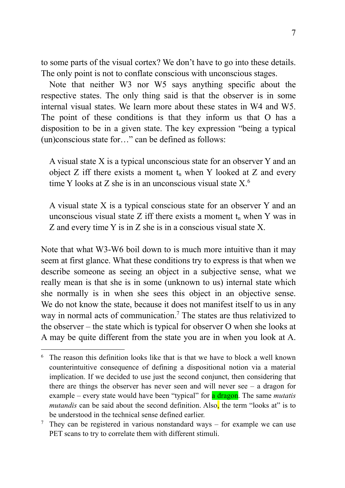to some parts of the visual cortex? We don't have to go into these details. The only point is not to conflate conscious with unconscious stages.

Note that neither W3 nor W5 says anything specific about the respective states. The only thing said is that the observer is in some internal visual states. We learn more about these states in W4 and W5. The point of these conditions is that they inform us that O has a disposition to be in a given state. The key expression "being a typical (un)conscious state for…" can be defined as follows:

A visual state X is a typical unconscious state for an observer Y and an object  $Z$  iff there exists a moment  $t_n$  when  $Y$  looked at  $Z$  and every time Y looks at Z she is in an unconscious visual state  $X^6$ .

A visual state X is a typical conscious state for an observer Y and an unconscious visual state Z iff there exists a moment  $t_n$  when Y was in Z and every time Y is in Z she is in a conscious visual state X.

Note that what W3-W6 boil down to is much more intuitive than it may seem at first glance. What these conditions try to express is that when we describe someone as seeing an object in a subjective sense, what we really mean is that she is in some (unknown to us) internal state which she normally is in when she sees this object in an objective sense. We do not know the state, because it does not manifest itself to us in any way in normal acts of communication.<sup>7</sup> The states are thus relativized to the observer – the state which is typical for observer O when she looks at A may be quite different from the state you are in when you look at A.

<sup>6</sup> The reason this definition looks like that is that we have to block a well known counterintuitive consequence of defining a dispositional notion via a material implication. If we decided to use just the second conjunct, then considering that there are things the observer has never seen and will never see  $-$  a dragon for example – every state would have been "typical" for **a dragon**. The same *mutatis mutandis* can be said about the second definition. Also, the term "looks at" is to be understood in the technical sense defined earlier.

<sup>&</sup>lt;sup>7</sup> They can be registered in various nonstandard ways – for example we can use PET scans to try to correlate them with different stimuli.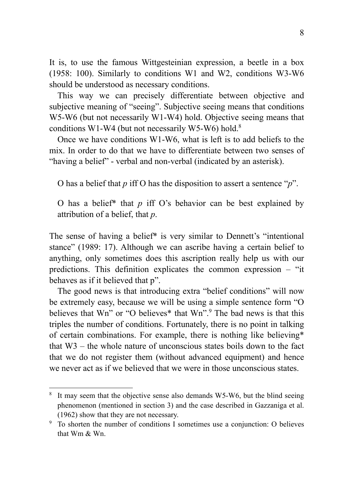It is, to use the famous Wittgesteinian expression, a beetle in a box (1958: 100). Similarly to conditions W1 and W2, conditions W3-W6 should be understood as necessary conditions.

This way we can precisely differentiate between objective and subjective meaning of "seeing". Subjective seeing means that conditions W5-W6 (but not necessarily W1-W4) hold. Objective seeing means that conditions W1-W4 (but not necessarily W5-W6) hold.8

Once we have conditions W1-W6, what is left is to add beliefs to the mix. In order to do that we have to differentiate between two senses of "having a belief" - verbal and non-verbal (indicated by an asterisk).

O has a belief that *p* iff O has the disposition to assert a sentence "*p*".

O has a belief\* that *p* iff O's behavior can be best explained by attribution of a belief, that *p*.

The sense of having a belief\* is very similar to Dennett's "intentional stance" (1989: 17). Although we can ascribe having a certain belief to anything, only sometimes does this ascription really help us with our predictions. This definition explicates the common expression – "it behaves as if it believed that p".

The good news is that introducing extra "belief conditions" will now be extremely easy, because we will be using a simple sentence form "O believes that Wn" or "O believes<sup>\*</sup> that Wn".<sup>9</sup> The bad news is that this triples the number of conditions. Fortunately, there is no point in talking of certain combinations. For example, there is nothing like believing\* that W3 – the whole nature of unconscious states boils down to the fact that we do not register them (without advanced equipment) and hence we never act as if we believed that we were in those unconscious states.

<sup>&</sup>lt;sup>8</sup> It may seem that the objective sense also demands W5-W6, but the blind seeing phenomenon (mentioned in section 3) and the case described in Gazzaniga et al. (1962) show that they are not necessary.

<sup>&</sup>lt;sup>9</sup> To shorten the number of conditions I sometimes use a conjunction: O believes that Wm & Wn.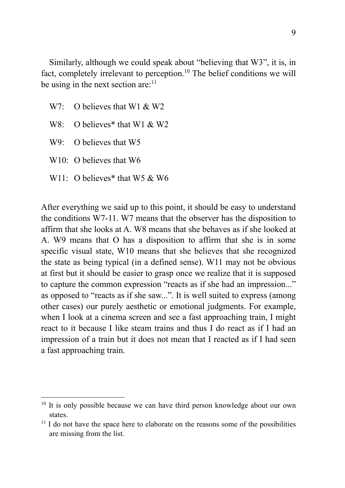Similarly, although we could speak about "believing that W3", it is, in fact, completely irrelevant to perception.<sup>10</sup> The belief conditions we will be using in the next section are: $11$ 

| W7: O believes that W1 & W2               |
|-------------------------------------------|
| W8: O believes <sup>*</sup> that W1 & W2  |
| $W9:$ O believes that W5                  |
| $W10:$ O believes that W6                 |
| W11: O believes <sup>*</sup> that W5 & W6 |
|                                           |

After everything we said up to this point, it should be easy to understand the conditions W7-11. W7 means that the observer has the disposition to affirm that she looks at A. W8 means that she behaves as if she looked at A. W9 means that O has a disposition to affirm that she is in some specific visual state, W10 means that she believes that she recognized the state as being typical (in a defined sense). W11 may not be obvious at first but it should be easier to grasp once we realize that it is supposed to capture the common expression "reacts as if she had an impression..." as opposed to "reacts as if she saw...". It is well suited to express (among other cases) our purely aesthetic or emotional judgments. For example, when I look at a cinema screen and see a fast approaching train, I might react to it because I like steam trains and thus I do react as if I had an impression of a train but it does not mean that I reacted as if I had seen a fast approaching train.

<sup>&</sup>lt;sup>10</sup> It is only possible because we can have third person knowledge about our own states.

 $11$  I do not have the space here to elaborate on the reasons some of the possibilities are missing from the list.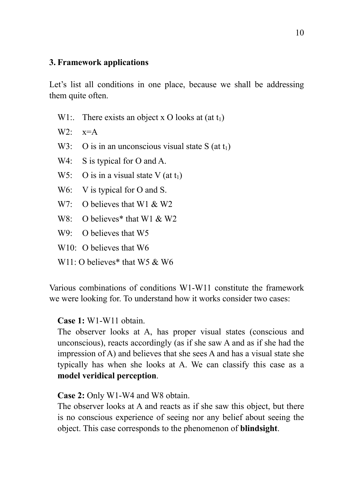## **3. Framework applications**

Let's list all conditions in one place, because we shall be addressing them quite often.

- W1:. There exists an object x O looks at  $(at t<sub>1</sub>)$
- W $2 \cdot x = A$
- W3: O is in an unconscious visual state  $S$  (at  $t_1$ )
- W4: S is typical for O and A.
- W5: O is in a visual state V (at  $t_1$ )
- W6: V is typical for O and S.
- W7: O believes that W1 & W2
- W8: O believes<sup>\*</sup> that W1 & W2
- W9: O believes that W5
- W<sub>10</sub>: O believes that W<sub>6</sub>
- W<sub>11</sub>: O believes<sup>\*</sup> that W<sub>2</sub> & W<sub>6</sub>

Various combinations of conditions W1-W11 constitute the framework we were looking for. To understand how it works consider two cases:

## **Case 1:** W1-W11 obtain.

The observer looks at A, has proper visual states (conscious and unconscious), reacts accordingly (as if she saw A and as if she had the impression of A) and believes that she sees A and has a visual state she typically has when she looks at A. We can classify this case as a **model veridical perception**.

**Case 2:** Only W1-W4 and W8 obtain.

The observer looks at A and reacts as if she saw this object, but there is no conscious experience of seeing nor any belief about seeing the object. This case corresponds to the phenomenon of **blindsight**.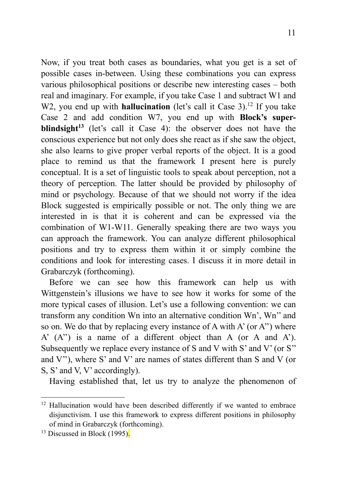Now, if you treat both cases as boundaries, what you get is a set of possible cases in-between. Using these combinations you can express various philosophical positions or describe new interesting cases – both real and imaginary. For example, if you take Case 1 and subtract W1 and W2, you end up with **hallucination** (let's call it Case 3).<sup>12</sup> If you take Case 2 and add condition W7, you end up with **Block's superblindsight**<sup>13</sup> (let's call it Case 4): the observer does not have the conscious experience but not only does she react as if she saw the object, she also learns to give proper verbal reports of the object. It is a good place to remind us that the framework I present here is purely conceptual. It is a set of linguistic tools to speak about perception, not a theory of perception. The latter should be provided by philosophy of mind or psychology. Because of that we should not worry if the idea Block suggested is empirically possible or not. The only thing we are interested in is that it is coherent and can be expressed via the combination of W1-W11. Generally speaking there are two ways you can approach the framework. You can analyze different philosophical positions and try to express them within it or simply combine the conditions and look for interesting cases. I discuss it in more detail in Grabarczyk (forthcoming).

Before we can see how this framework can help us with Wittgenstein's illusions we have to see how it works for some of the more typical cases of illusion. Let's use a following convention: we can transform any condition Wn into an alternative condition Wn', Wn'' and so on. We do that by replacing every instance of A with A' (or A'') where A' (A'') is a name of a different object than A (or A and A'). Subsequently we replace every instance of S and V with S' and V' (or S'' and V''), where S' and V' are names of states different than S and V (or S, S' and V, V' accordingly).

Having established that, let us try to analyze the phenomenon of

<sup>&</sup>lt;sup>12</sup> Hallucination would have been described differently if we wanted to embrace disjunctivism. I use this framework to express different positions in philosophy of mind in Grabarczyk (forthcoming).

 $13$  Discussed in Block (1995).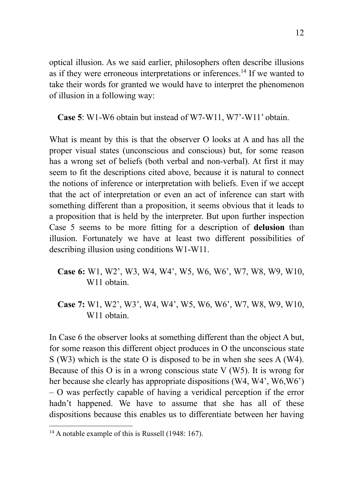optical illusion. As we said earlier, philosophers often describe illusions as if they were erroneous interpretations or inferences.14 If we wanted to take their words for granted we would have to interpret the phenomenon of illusion in a following way:

**Case 5**: W1-W6 obtain but instead of W7-W11, W7'-W11' obtain.

What is meant by this is that the observer O looks at A and has all the proper visual states (unconscious and conscious) but, for some reason has a wrong set of beliefs (both verbal and non-verbal). At first it may seem to fit the descriptions cited above, because it is natural to connect the notions of inference or interpretation with beliefs. Even if we accept that the act of interpretation or even an act of inference can start with something different than a proposition, it seems obvious that it leads to a proposition that is held by the interpreter. But upon further inspection Case 5 seems to be more fitting for a description of **delusion** than illusion. Fortunately we have at least two different possibilities of describing illusion using conditions W1-W11.

## **Case 6:** W1, W2', W3, W4, W4', W5, W6, W6', W7, W8, W9, W10, W<sub>11</sub> obtain.

**Case 7:** W1, W2', W3', W4, W4', W5, W6, W6', W7, W8, W9, W10, W<sub>11</sub> obtain.

In Case 6 the observer looks at something different than the object A but, for some reason this different object produces in O the unconscious state S (W3) which is the state O is disposed to be in when she sees A (W4). Because of this O is in a wrong conscious state V (W5). It is wrong for her because she clearly has appropriate dispositions (W4, W4', W6,W6') – O was perfectly capable of having a veridical perception if the error hadn't happened. We have to assume that she has all of these dispositions because this enables us to differentiate between her having

<sup>&</sup>lt;sup>14</sup> A notable example of this is Russell (1948: 167).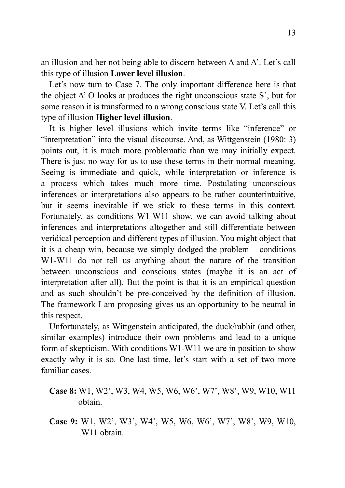an illusion and her not being able to discern between A and A'. Let's call this type of illusion **Lower level illusion**.

Let's now turn to Case 7. The only important difference here is that the object A' O looks at produces the right unconscious state S', but for some reason it is transformed to a wrong conscious state V. Let's call this type of illusion **Higher level illusion**.

It is higher level illusions which invite terms like "inference" or "interpretation" into the visual discourse. And, as Wittgenstein (1980: 3) points out, it is much more problematic than we may initially expect. There is just no way for us to use these terms in their normal meaning. Seeing is immediate and quick, while interpretation or inference is a process which takes much more time. Postulating unconscious inferences or interpretations also appears to be rather counterintuitive, but it seems inevitable if we stick to these terms in this context. Fortunately, as conditions W1-W11 show, we can avoid talking about inferences and interpretations altogether and still differentiate between veridical perception and different types of illusion. You might object that it is a cheap win, because we simply dodged the problem – conditions W1-W11 do not tell us anything about the nature of the transition between unconscious and conscious states (maybe it is an act of interpretation after all). But the point is that it is an empirical question and as such shouldn't be pre-conceived by the definition of illusion. The framework I am proposing gives us an opportunity to be neutral in this respect.

Unfortunately, as Wittgenstein anticipated, the duck/rabbit (and other, similar examples) introduce their own problems and lead to a unique form of skepticism. With conditions W1-W11 we are in position to show exactly why it is so. One last time, let's start with a set of two more familiar cases.

**Case 8:** W1, W2', W3, W4, W5, W6, W6', W7', W8', W9, W10, W11 obtain.

**Case 9:** W1, W2', W3', W4', W5, W6, W6', W7', W8', W9, W10, W11 obtain.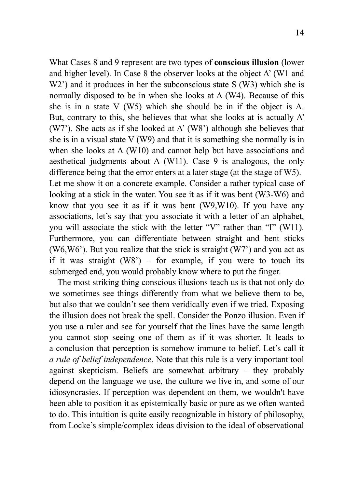What Cases 8 and 9 represent are two types of **conscious illusion** (lower and higher level). In Case 8 the observer looks at the object A' (W1 and W2') and it produces in her the subconscious state S (W3) which she is normally disposed to be in when she looks at A (W4). Because of this she is in a state V (W5) which she should be in if the object is A. But, contrary to this, she believes that what she looks at is actually A' (W7'). She acts as if she looked at A' (W8') although she believes that she is in a visual state V (W9) and that it is something she normally is in when she looks at A (W10) and cannot help but have associations and aesthetical judgments about A (W11). Case 9 is analogous, the only difference being that the error enters at a later stage (at the stage of W5). Let me show it on a concrete example. Consider a rather typical case of looking at a stick in the water. You see it as if it was bent (W3-W6) and know that you see it as if it was bent (W9,W10). If you have any associations, let's say that you associate it with a letter of an alphabet, you will associate the stick with the letter "V" rather than "I" (W11). Furthermore, you can differentiate between straight and bent sticks (W6,W6'). But you realize that the stick is straight  $(W7')$  and you act as if it was straight  $(W8')$  – for example, if you were to touch its submerged end, you would probably know where to put the finger.

The most striking thing conscious illusions teach us is that not only do we sometimes see things differently from what we believe them to be, but also that we couldn't see them veridically even if we tried. Exposing the illusion does not break the spell. Consider the Ponzo illusion. Even if you use a ruler and see for yourself that the lines have the same length you cannot stop seeing one of them as if it was shorter. It leads to a conclusion that perception is somehow immune to belief. Let's call it *a rule of belief independence*. Note that this rule is a very important tool against skepticism. Beliefs are somewhat arbitrary – they probably depend on the language we use, the culture we live in, and some of our idiosyncrasies. If perception was dependent on them, we wouldn't have been able to position it as epistemically basic or pure as we often wanted to do. This intuition is quite easily recognizable in history of philosophy, from Locke's simple/complex ideas division to the ideal of observational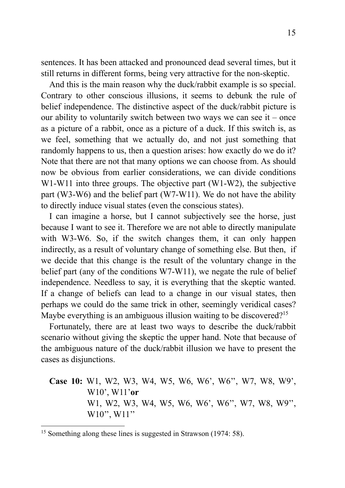sentences. It has been attacked and pronounced dead several times, but it still returns in different forms, being very attractive for the non-skeptic.

And this is the main reason why the duck/rabbit example is so special. Contrary to other conscious illusions, it seems to debunk the rule of belief independence. The distinctive aspect of the duck/rabbit picture is our ability to voluntarily switch between two ways we can see it – once as a picture of a rabbit, once as a picture of a duck. If this switch is, as we feel, something that we actually do, and not just something that randomly happens to us, then a question arises: how exactly do we do it? Note that there are not that many options we can choose from. As should now be obvious from earlier considerations, we can divide conditions W1-W11 into three groups. The objective part (W1-W2), the subjective part (W3-W6) and the belief part (W7-W11). We do not have the ability to directly induce visual states (even the conscious states).

I can imagine a horse, but I cannot subjectively see the horse, just because I want to see it. Therefore we are not able to directly manipulate with W3-W6. So, if the switch changes them, it can only happen indirectly, as a result of voluntary change of something else. But then, if we decide that this change is the result of the voluntary change in the belief part (any of the conditions W7-W11), we negate the rule of belief independence. Needless to say, it is everything that the skeptic wanted. If a change of beliefs can lead to a change in our visual states, then perhaps we could do the same trick in other, seemingly veridical cases? Maybe everything is an ambiguous illusion waiting to be discovered?<sup>15</sup>

Fortunately, there are at least two ways to describe the duck/rabbit scenario without giving the skeptic the upper hand. Note that because of the ambiguous nature of the duck/rabbit illusion we have to present the cases as disjunctions.

**Case 10:** W1, W2, W3, W4, W5, W6, W6', W6'', W7, W8, W9', W10', W11'**or** W1, W2, W3, W4, W5, W6, W6', W6'', W7, W8, W9'', W10", W11"

<sup>&</sup>lt;sup>15</sup> Something along these lines is suggested in Strawson (1974: 58).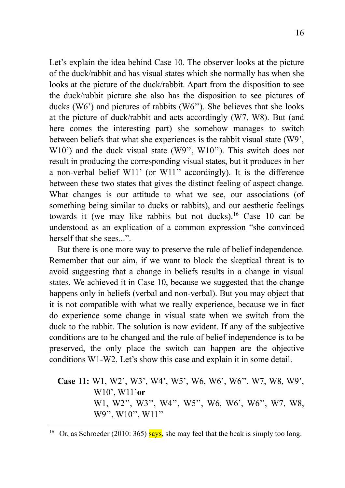Let's explain the idea behind Case 10. The observer looks at the picture of the duck/rabbit and has visual states which she normally has when she looks at the picture of the duck/rabbit. Apart from the disposition to see the duck/rabbit picture she also has the disposition to see pictures of ducks (W6') and pictures of rabbits (W6''). She believes that she looks at the picture of duck/rabbit and acts accordingly (W7, W8). But (and here comes the interesting part) she somehow manages to switch between beliefs that what she experiences is the rabbit visual state (W9', W10') and the duck visual state (W9'', W10''). This switch does not result in producing the corresponding visual states, but it produces in her a non-verbal belief W11' (or W11'' accordingly). It is the difference between these two states that gives the distinct feeling of aspect change. What changes is our attitude to what we see, our associations (of something being similar to ducks or rabbits), and our aesthetic feelings towards it (we may like rabbits but not ducks).<sup>16</sup> Case 10 can be understood as an explication of a common expression "she convinced herself that she sees...".

But there is one more way to preserve the rule of belief independence. Remember that our aim, if we want to block the skeptical threat is to avoid suggesting that a change in beliefs results in a change in visual states. We achieved it in Case 10, because we suggested that the change happens only in beliefs (verbal and non-verbal). But you may object that it is not compatible with what we really experience, because we in fact do experience some change in visual state when we switch from the duck to the rabbit. The solution is now evident. If any of the subjective conditions are to be changed and the rule of belief independence is to be preserved, the only place the switch can happen are the objective conditions W1-W2. Let's show this case and explain it in some detail.

**Case 11:** W1, W2', W3', W4', W5', W6, W6', W6'', W7, W8, W9', W10', W11'**or** W1, W2'', W3'', W4'', W5'', W6, W6', W6'', W7, W8, W9'', W10'', W11''

<sup>&</sup>lt;sup>16</sup> Or, as Schroeder (2010: 365) says, she may feel that the beak is simply too long.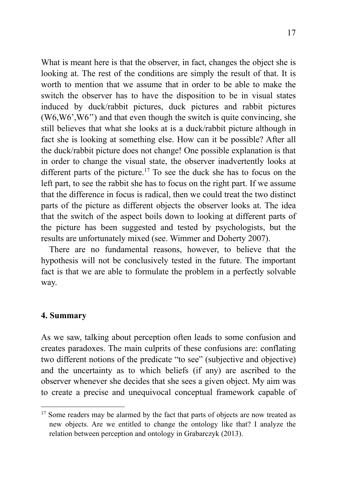What is meant here is that the observer, in fact, changes the object she is looking at. The rest of the conditions are simply the result of that. It is worth to mention that we assume that in order to be able to make the switch the observer has to have the disposition to be in visual states induced by duck/rabbit pictures, duck pictures and rabbit pictures  $(W6, W6', W6'')$  and that even though the switch is quite convincing, she still believes that what she looks at is a duck/rabbit picture although in fact she is looking at something else. How can it be possible? After all the duck/rabbit picture does not change! One possible explanation is that in order to change the visual state, the observer inadvertently looks at different parts of the picture.<sup>17</sup> To see the duck she has to focus on the left part, to see the rabbit she has to focus on the right part. If we assume that the difference in focus is radical, then we could treat the two distinct parts of the picture as different objects the observer looks at. The idea that the switch of the aspect boils down to looking at different parts of the picture has been suggested and tested by psychologists, but the results are unfortunately mixed (see. Wimmer and Doherty 2007).

There are no fundamental reasons, however, to believe that the hypothesis will not be conclusively tested in the future. The important fact is that we are able to formulate the problem in a perfectly solvable way.

#### **4. Summary**

As we saw, talking about perception often leads to some confusion and creates paradoxes. The main culprits of these confusions are: conflating two different notions of the predicate "to see" (subjective and objective) and the uncertainty as to which beliefs (if any) are ascribed to the observer whenever she decides that she sees a given object. My aim was to create a precise and unequivocal conceptual framework capable of

<sup>&</sup>lt;sup>17</sup> Some readers may be alarmed by the fact that parts of objects are now treated as new objects. Are we entitled to change the ontology like that? I analyze the relation between perception and ontology in Grabarczyk (2013).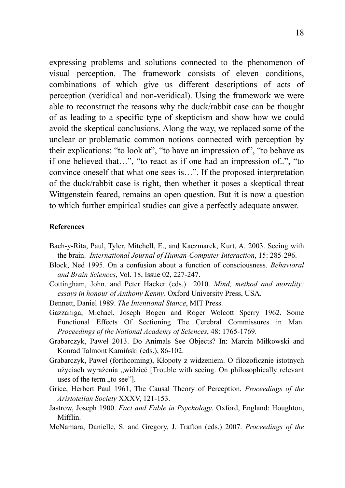expressing problems and solutions connected to the phenomenon of visual perception. The framework consists of eleven conditions, combinations of which give us different descriptions of acts of perception (veridical and non-veridical). Using the framework we were able to reconstruct the reasons why the duck/rabbit case can be thought of as leading to a specific type of skepticism and show how we could avoid the skeptical conclusions. Along the way, we replaced some of the unclear or problematic common notions connected with perception by their explications: "to look at", "to have an impression of", "to behave as if one believed that…", "to react as if one had an impression of..", "to convince oneself that what one sees is…". If the proposed interpretation of the duck/rabbit case is right, then whether it poses a skeptical threat Wittgenstein feared, remains an open question. But it is now a question to which further empirical studies can give a perfectly adequate answer.

#### **References**

- Bach-y-Rita, Paul, Tyler, Mitchell, E., and Kaczmarek, Kurt, A. 2003. Seeing with the brain. *International Journal of Human-Computer Interaction*, 15: 285-296.
- Block, Ned 1995. On a confusion about a function of consciousness. *Behavioral and Brain Sciences*, Vol. 18, Issue 02, 227-247.
- Cottingham, John. and Peter Hacker (eds.) 2010. *Mind, method and morality: essays in honour of Anthony Kenny*. Oxford University Press, USA.
- Dennett, Daniel 1989. *The Intentional Stance*, MIT Press.
- Gazzaniga, Michael, Joseph Bogen and Roger Wolcott Sperry 1962. Some Functional Effects Of Sectioning The Cerebral Commissures in Man. *Proceedings of the National Academy of Sciences*, 48: 1765-1769.
- Grabarczyk, Paweł 2013. Do Animals See Objects? In: Marcin Miłkowski and Konrad Talmont Kamiński (eds.), 86-102.
- Grabarczyk, Paweł (forthcoming), Kłopoty z widzeniem. O filozoficznie istotnych użyciach wyrażenia "widzieć [Trouble with seeing. On philosophically relevant uses of the term "to see"].
- Grice, Herbert Paul 1961, The Causal Theory of Perception, *Proceedings of the Aristotelian Society* XXXV, 121-153.
- Jastrow, Joseph 1900. *Fact and Fable in Psychology*. Oxford, England: Houghton, Mifflin.
- McNamara, Danielle, S. and Gregory, J. Trafton (eds.) 2007. *Proceedings of the*